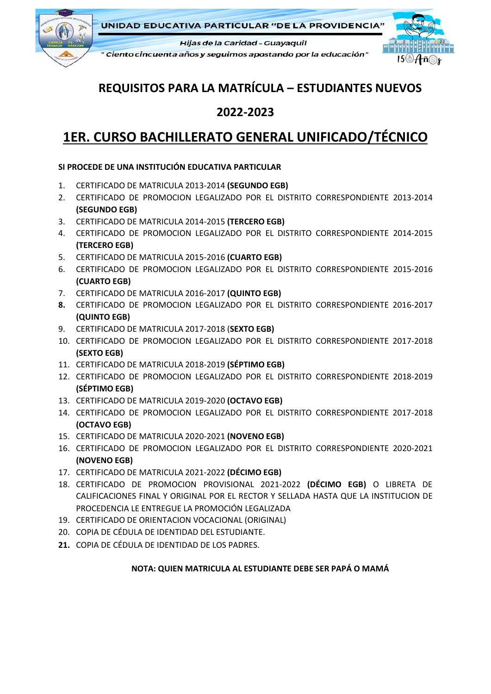

**UNIDAD EDUCATIVA PARTICULAR "DE LA PROVIDENCIA"** 

Hijas de la Caridad - Guayaquil

" Ciento cincuenta años y seguimos apostando por la educación"



# **REQUISITOS PARA LA MATRÍCULA – ESTUDIANTES NUEVOS**

## **2022-2023**

# **1ER. CURSO BACHILLERATO GENERAL UNIFICADO/TÉCNICO**

### **SI PROCEDE DE UNA INSTITUCIÓN EDUCATIVA PARTICULAR**

- 1. CERTIFICADO DE MATRICULA 2013-2014 **(SEGUNDO EGB)**
- 2. CERTIFICADO DE PROMOCION LEGALIZADO POR EL DISTRITO CORRESPONDIENTE 2013-2014 **(SEGUNDO EGB)**
- 3. CERTIFICADO DE MATRICULA 2014-2015 **(TERCERO EGB)**
- 4. CERTIFICADO DE PROMOCION LEGALIZADO POR EL DISTRITO CORRESPONDIENTE 2014-2015 **(TERCERO EGB)**
- 5. CERTIFICADO DE MATRICULA 2015-2016 **(CUARTO EGB)**
- 6. CERTIFICADO DE PROMOCION LEGALIZADO POR EL DISTRITO CORRESPONDIENTE 2015-2016 **(CUARTO EGB)**
- 7. CERTIFICADO DE MATRICULA 2016-2017 **(QUINTO EGB)**
- **8.** CERTIFICADO DE PROMOCION LEGALIZADO POR EL DISTRITO CORRESPONDIENTE 2016-2017 **(QUINTO EGB)**
- 9. CERTIFICADO DE MATRICULA 2017-2018 (**SEXTO EGB)**
- 10. CERTIFICADO DE PROMOCION LEGALIZADO POR EL DISTRITO CORRESPONDIENTE 2017-2018 **(SEXTO EGB)**
- 11. CERTIFICADO DE MATRICULA 2018-2019 **(SÉPTIMO EGB)**
- 12. CERTIFICADO DE PROMOCION LEGALIZADO POR EL DISTRITO CORRESPONDIENTE 2018-2019 **(SÉPTIMO EGB)**
- 13. CERTIFICADO DE MATRICULA 2019-2020 **(OCTAVO EGB)**
- 14. CERTIFICADO DE PROMOCION LEGALIZADO POR EL DISTRITO CORRESPONDIENTE 2017-2018 **(OCTAVO EGB)**
- 15. CERTIFICADO DE MATRICULA 2020-2021 **(NOVENO EGB)**
- 16. CERTIFICADO DE PROMOCION LEGALIZADO POR EL DISTRITO CORRESPONDIENTE 2020-2021 **(NOVENO EGB)**
- 17. CERTIFICADO DE MATRICULA 2021-2022 **(DÉCIMO EGB)**
- 18. CERTIFICADO DE PROMOCION PROVISIONAL 2021-2022 **(DÉCIMO EGB)** O LIBRETA DE CALIFICACIONES FINAL Y ORIGINAL POR EL RECTOR Y SELLADA HASTA QUE LA INSTITUCION DE PROCEDENCIA LE ENTREGUE LA PROMOCIÓN LEGALIZADA
- 19. CERTIFICADO DE ORIENTACION VOCACIONAL (ORIGINAL)
- 20. COPIA DE CÉDULA DE IDENTIDAD DEL ESTUDIANTE.
- **21.** COPIA DE CÉDULA DE IDENTIDAD DE LOS PADRES.

### **NOTA: QUIEN MATRICULA AL ESTUDIANTE DEBE SER PAPÁ O MAMÁ**